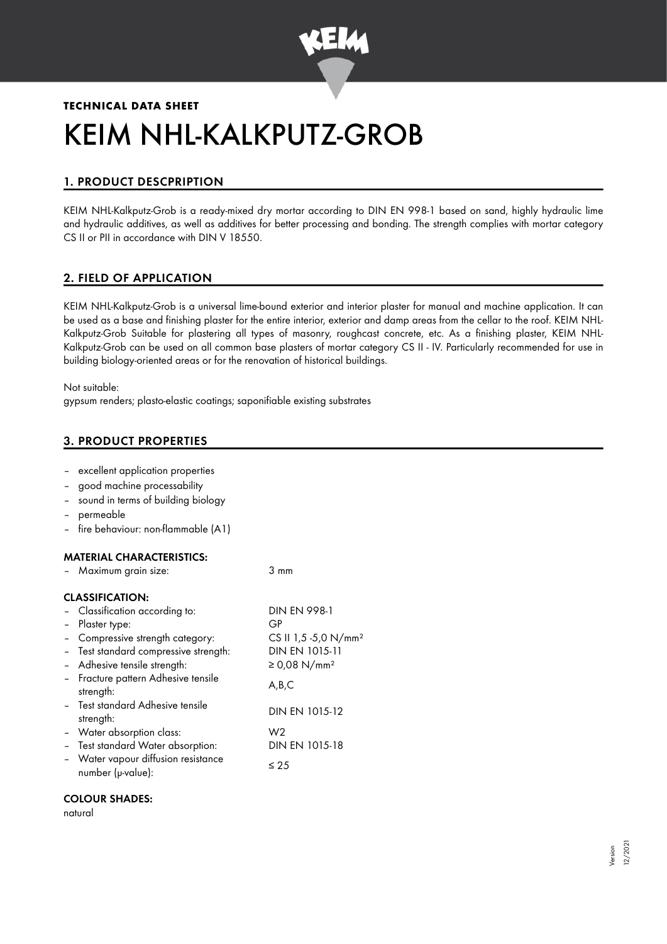

# **TECHNICAL DATA SHEET** KEIM NHL-KALKPUTZ-GROB

# 1. PRODUCT DESCPRIPTION

KEIM NHL-Kalkputz-Grob is a ready-mixed dry mortar according to DIN EN 998-1 based on sand, highly hydraulic lime and hydraulic additives, as well as additives for better processing and bonding. The strength complies with mortar category CS II or PII in accordance with DIN V 18550.

## 2. FIELD OF APPLICATION

KEIM NHL-Kalkputz-Grob is a universal lime-bound exterior and interior plaster for manual and machine application. It can be used as a base and finishing plaster for the entire interior, exterior and damp areas from the cellar to the roof. KEIM NHL-Kalkputz-Grob Suitable for plastering all types of masonry, roughcast concrete, etc. As a finishing plaster, KEIM NHL-Kalkputz-Grob can be used on all common base plasters of mortar category CS II - IV. Particularly recommended for use in building biology-oriented areas or for the renovation of historical buildings.

Not suitable:

gypsum renders; plasto-elastic coatings; saponifiable existing substrates

## 3. PRODUCT PROPERTIES

- excellent application properties
- good machine processability
- sound in terms of building biology
- permeable
- fire behaviour: non-flammable (A1)

## MATERIAL CHARACTERISTICS:

| - Maximum grain size:                                    | 3 mm                             |
|----------------------------------------------------------|----------------------------------|
| <b>CLASSIFICATION:</b>                                   |                                  |
| - Classification according to:                           | <b>DIN EN 998-1</b>              |
| - Plaster type:                                          | GP                               |
| - Compressive strength category:                         | CS II 1,5 -5,0 N/mm <sup>2</sup> |
| - Test standard compressive strength:                    | DIN EN 1015-11                   |
| - Adhesive tensile strength:                             | ≥ 0,08 N/mm <sup>2</sup>         |
| - Fracture pattern Adhesive tensile<br>strength:         | A,B,C                            |
| - Test standard Adhesive tensile<br>strength:            | DIN EN 1015-12                   |
| - Water absorption class:                                | W <sub>2</sub>                   |
| - Test standard Water absorption:                        | DIN EN 1015-18                   |
| - Water vapour diffusion resistance<br>number (µ-value): | ≤ 25                             |

#### COLOUR SHADES:

natural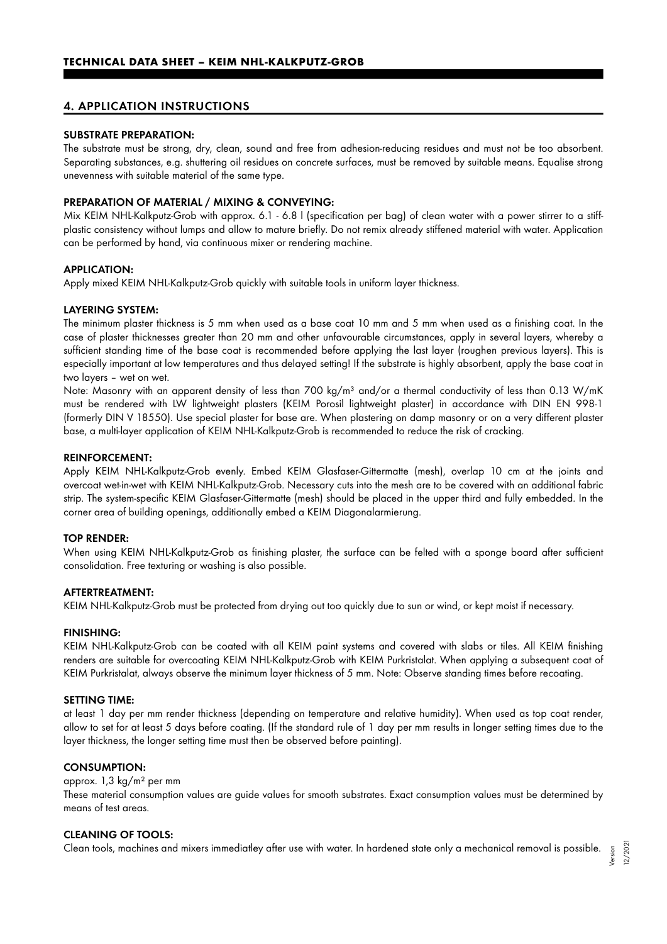## 4. APPLICATION INSTRUCTIONS

#### SUBSTRATE PREPARATION:

The substrate must be strong, dry, clean, sound and free from adhesion-reducing residues and must not be too absorbent. Separating substances, e.g. shuttering oil residues on concrete surfaces, must be removed by suitable means. Equalise strong unevenness with suitable material of the same type.

#### PREPARATION OF MATERIAL / MIXING & CONVEYING:

Mix KEIM NHL-Kalkputz-Grob with approx. 6.1 - 6.8 l (specification per bag) of clean water with a power stirrer to a stiffplastic consistency without lumps and allow to mature briefly. Do not remix already stiffened material with water. Application can be performed by hand, via continuous mixer or rendering machine.

#### APPLICATION:

Apply mixed KEIM NHL-Kalkputz-Grob quickly with suitable tools in uniform layer thickness.

#### LAYERING SYSTEM:

The minimum plaster thickness is 5 mm when used as a base coat 10 mm and 5 mm when used as a finishing coat. In the case of plaster thicknesses greater than 20 mm and other unfavourable circumstances, apply in several layers, whereby a sufficient standing time of the base coat is recommended before applying the last layer (roughen previous layers). This is especially important at low temperatures and thus delayed setting! If the substrate is highly absorbent, apply the base coat in two layers – wet on wet.

Note: Masonry with an apparent density of less than 700 kg/m<sup>3</sup> and/or a thermal conductivity of less than 0.13 W/mK must be rendered with LW lightweight plasters (KEIM Porosil lightweight plaster) in accordance with DIN EN 998-1 (formerly DIN V 18550). Use special plaster for base are. When plastering on damp masonry or on a very different plaster base, a multi-layer application of KEIM NHL-Kalkputz-Grob is recommended to reduce the risk of cracking.

#### REINFORCEMENT:

Apply KEIM NHL-Kalkputz-Grob evenly. Embed KEIM Glasfaser-Gittermatte (mesh), overlap 10 cm at the joints and overcoat wet-in-wet with KEIM NHL-Kalkputz-Grob. Necessary cuts into the mesh are to be covered with an additional fabric strip. The system-specific KEIM Glasfaser-Gittermatte (mesh) should be placed in the upper third and fully embedded. In the corner area of building openings, additionally embed a KEIM Diagonalarmierung.

#### TOP RENDER:

When using KEIM NHL-Kalkputz-Grob as finishing plaster, the surface can be felted with a sponge board after sufficient consolidation. Free texturing or washing is also possible.

#### AFTERTREATMENT:

KEIM NHL-Kalkputz-Grob must be protected from drying out too quickly due to sun or wind, or kept moist if necessary.

#### FINISHING:

KEIM NHL-Kalkputz-Grob can be coated with all KEIM paint systems and covered with slabs or tiles. All KEIM finishing renders are suitable for overcoating KEIM NHL-Kalkputz-Grob with KEIM Purkristalat. When applying a subsequent coat of KEIM Purkristalat, always observe the minimum layer thickness of 5 mm. Note: Observe standing times before recoating.

#### SETTING TIME:

at least 1 day per mm render thickness (depending on temperature and relative humidity). When used as top coat render, allow to set for at least 5 days before coating. (If the standard rule of 1 day per mm results in longer setting times due to the layer thickness, the longer setting time must then be observed before painting).

#### CONSUMPTION:

#### approx. 1,3 kg/m² per mm

These material consumption values are guide values for smooth substrates. Exact consumption values must be determined by means of test areas.

#### CLEANING OF TOOLS:

Clean tools, machines and mixers immediatley after use with water. In hardened state only a mechanical removal is possible. Version